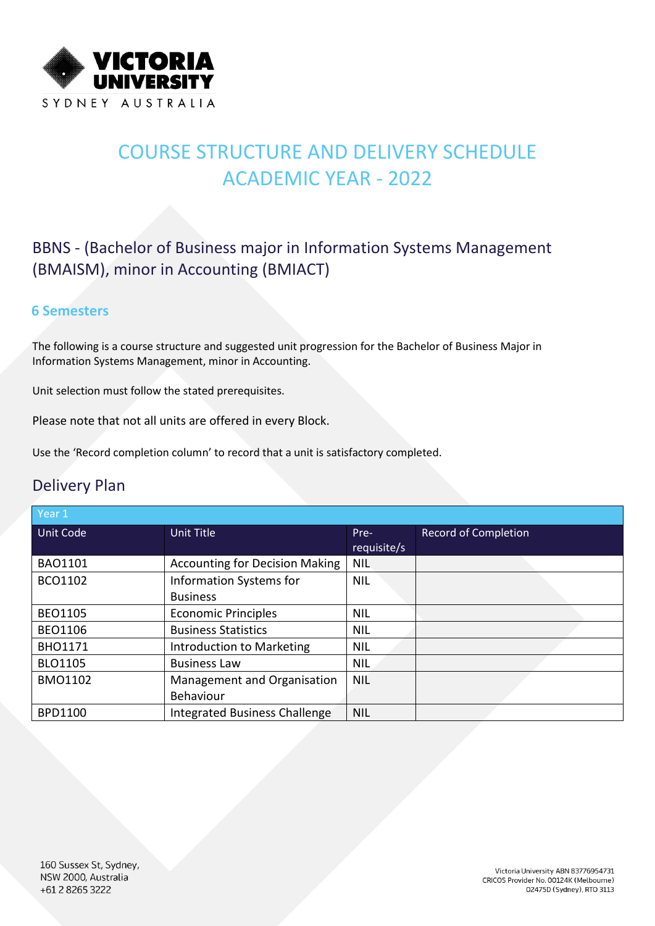

# COURSE STRUCTURE AND DELIVERY SCHEDULE ACADEMIC YEAR - 2022

### BBNS - (Bachelor of Business major in Information Systems Management (BMAISM), minor in Accounting (BMIACT)

#### **6 Semesters**

The following is a course structure and suggested unit progression for the Bachelor of Business Major in Information Systems Management, minor in Accounting.

Unit selection must follow the stated prerequisites.

Please note that not all units are offered in every Block.

Use the 'Record completion column' to record that a unit is satisfactory completed.

#### Delivery Plan

| Year 1           |                                       |             |                             |
|------------------|---------------------------------------|-------------|-----------------------------|
| <b>Unit Code</b> | <b>Unit Title</b>                     | Pre-        | <b>Record of Completion</b> |
|                  |                                       | requisite/s |                             |
| <b>BAO1101</b>   | <b>Accounting for Decision Making</b> | <b>NIL</b>  |                             |
| BCO1102          | Information Systems for               | <b>NIL</b>  |                             |
|                  | <b>Business</b>                       |             |                             |
| <b>BEO1105</b>   | <b>Economic Principles</b>            | <b>NIL</b>  |                             |
| <b>BEO1106</b>   | <b>Business Statistics</b>            | <b>NIL</b>  |                             |
| <b>BHO1171</b>   | Introduction to Marketing             | <b>NIL</b>  |                             |
| <b>BLO1105</b>   | <b>Business Law</b>                   | <b>NIL</b>  |                             |
| <b>BMO1102</b>   | Management and Organisation           | <b>NIL</b>  |                             |
|                  | Behaviour                             |             |                             |
| <b>BPD1100</b>   | <b>Integrated Business Challenge</b>  | <b>NIL</b>  |                             |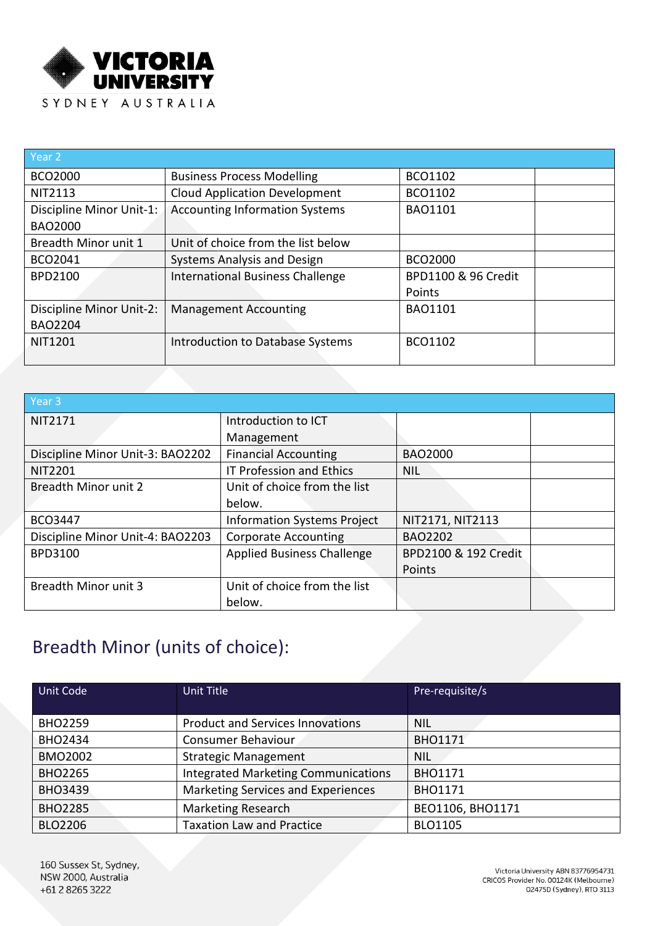

| Year 2                                     |                                         |                               |
|--------------------------------------------|-----------------------------------------|-------------------------------|
| <b>BCO2000</b>                             | <b>Business Process Modelling</b>       | BCO1102                       |
| <b>NIT2113</b>                             | <b>Cloud Application Development</b>    | BCO1102                       |
| Discipline Minor Unit-1:<br><b>BAO2000</b> | <b>Accounting Information Systems</b>   | <b>BAO1101</b>                |
| Breadth Minor unit 1                       | Unit of choice from the list below      |                               |
| BCO2041                                    | <b>Systems Analysis and Design</b>      | <b>BCO2000</b>                |
| <b>BPD2100</b>                             | <b>International Business Challenge</b> | BPD1100 & 96 Credit<br>Points |
| Discipline Minor Unit-2:<br><b>BAO2204</b> | <b>Management Accounting</b>            | <b>BAO1101</b>                |
| <b>NIT1201</b>                             | Introduction to Database Systems        | <b>BCO1102</b>                |

| Year 3                           |                                    |                      |  |
|----------------------------------|------------------------------------|----------------------|--|
| <b>NIT2171</b>                   | Introduction to ICT                |                      |  |
|                                  | Management                         |                      |  |
| Discipline Minor Unit-3: BAO2202 | <b>Financial Accounting</b>        | <b>BAO2000</b>       |  |
| <b>NIT2201</b>                   | <b>IT Profession and Ethics</b>    | <b>NIL</b>           |  |
| <b>Breadth Minor unit 2</b>      | Unit of choice from the list       |                      |  |
|                                  | below.                             |                      |  |
| <b>BCO3447</b>                   | <b>Information Systems Project</b> | NIT2171, NIT2113     |  |
| Discipline Minor Unit-4: BAO2203 | <b>Corporate Accounting</b>        | <b>BAO2202</b>       |  |
| BPD3100                          | <b>Applied Business Challenge</b>  | BPD2100 & 192 Credit |  |
|                                  |                                    | Points               |  |
| <b>Breadth Minor unit 3</b>      | Unit of choice from the list       |                      |  |
|                                  | below.                             |                      |  |

## Breadth Minor (units of choice):

| Unit Code      | Unit Title                                 | Pre-requisite/s  |  |
|----------------|--------------------------------------------|------------------|--|
| <b>BHO2259</b> | <b>Product and Services Innovations</b>    | <b>NIL</b>       |  |
| <b>BHO2434</b> | Consumer Behaviour                         | <b>BHO1171</b>   |  |
| <b>BMO2002</b> | <b>Strategic Management</b>                | <b>NIL</b>       |  |
| <b>BHO2265</b> | <b>Integrated Marketing Communications</b> | <b>BHO1171</b>   |  |
| <b>BHO3439</b> | Marketing Services and Experiences         | <b>BHO1171</b>   |  |
| <b>BHO2285</b> | <b>Marketing Research</b>                  | BEO1106, BHO1171 |  |
| <b>BLO2206</b> | <b>Taxation Law and Practice</b>           | <b>BLO1105</b>   |  |